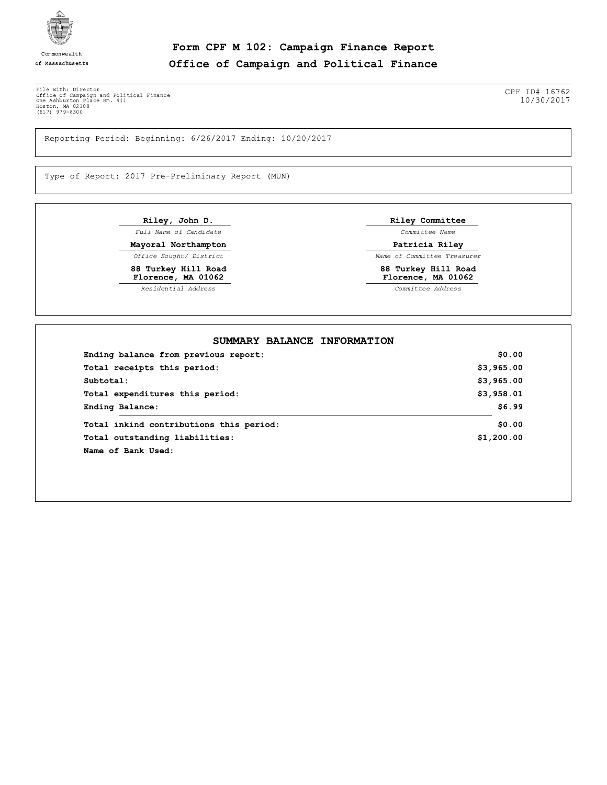

of Massachusetts

Form CPF M 102: Campaign Finance Report Office of Campaign and Political Finance

File with: Director<br>
Office of Campaign and Political Finance<br>
One Ashburton Place Rm. 411<br>
Boston, MA 02108<br>
(617) 979-8300

Reporting Period: Beginning: 6/26/2017 Ending: 10/20/2017

Type of Report: 2017 Pre-Preliminary Report (MUN)

Riley, John D. Full Name of Candidate Mayoral Northampton

Office Sought/ District 88 Turkey Hill Road<br>Florence, MA 01062

Residential Address

Riley Committee

Committee Name

Patricia Riley Name of Committee Treasurer

88 Turkey Hill Road<br>Florence, MA 01062

 $\overline{\textit{Committee}}\textit{Address}$ 

| Ending balance from previous report:    | \$0.00     |
|-----------------------------------------|------------|
| Total receipts this period:             | \$3,965.00 |
| Subtotal:                               | \$3,965.00 |
| Total expenditures this period:         | \$3,958.01 |
| Ending Balance:                         | \$6.99     |
| Total inkind contributions this period: | \$0.00     |
| Total outstanding liabilities:          | \$1,200.00 |
| Name of Bank Used:                      |            |

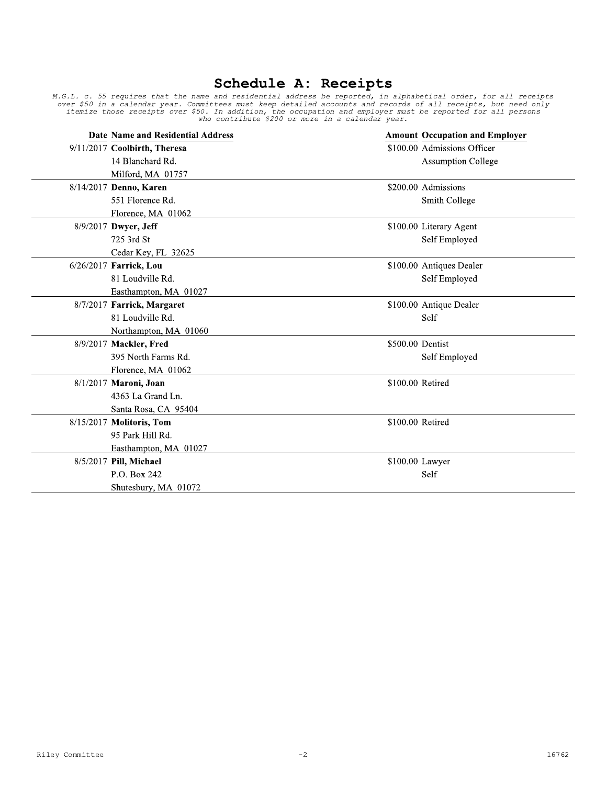## Schedule A: Receipts

M.G.L. c. 55 requires that the name and residential address be reported, in alphabetical order, for all receipts<br>over \$50 in a calendar year. Committees must keep detailed accounts and records of all receipts, but need on

| Date Name and Residential Address |                  | <b>Amount Occupation and Employer</b> |
|-----------------------------------|------------------|---------------------------------------|
| 9/11/2017 Coolbirth, Theresa      |                  | \$100.00 Admissions Officer           |
| 14 Blanchard Rd.                  |                  | <b>Assumption College</b>             |
| Milford, MA 01757                 |                  |                                       |
| 8/14/2017 Denno, Karen            |                  | \$200.00 Admissions                   |
| 551 Florence Rd.                  |                  | Smith College                         |
| Florence, MA 01062                |                  |                                       |
| 8/9/2017 Dwyer, Jeff              |                  | \$100.00 Literary Agent               |
| 725 3rd St                        |                  | Self Employed                         |
| Cedar Key, FL 32625               |                  |                                       |
| 6/26/2017 Farrick, Lou            |                  | \$100.00 Antiques Dealer              |
| 81 Loudville Rd.                  |                  | Self Employed                         |
| Easthampton, MA 01027             |                  |                                       |
| 8/7/2017 Farrick, Margaret        |                  | \$100.00 Antique Dealer               |
| 81 Loudville Rd.                  |                  | Self                                  |
| Northampton, MA 01060             |                  |                                       |
| 8/9/2017 Mackler, Fred            | \$500.00 Dentist |                                       |
| 395 North Farms Rd.               |                  | Self Employed                         |
| Florence, MA 01062                |                  |                                       |
| 8/1/2017 Maroni, Joan             | \$100.00 Retired |                                       |
| 4363 La Grand Ln.                 |                  |                                       |
| Santa Rosa, CA 95404              |                  |                                       |
| 8/15/2017 Molitoris, Tom          | \$100.00 Retired |                                       |
| 95 Park Hill Rd.                  |                  |                                       |
| Easthampton, MA 01027             |                  |                                       |
| 8/5/2017 Pill, Michael            | \$100.00 Lawyer  |                                       |
| P.O. Box 242                      |                  | Self                                  |
| Shutesbury, MA 01072              |                  |                                       |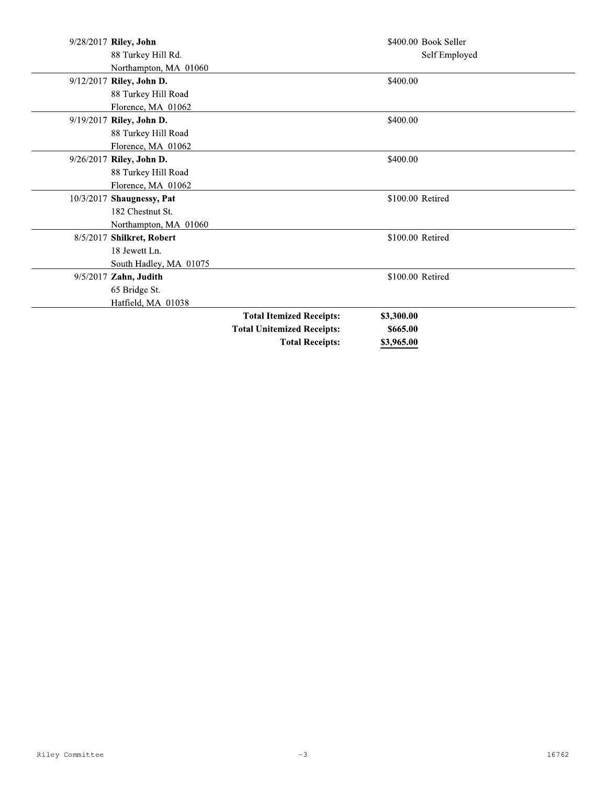| 9/28/2017 Riley, John     |                                   | \$400.00 Book Seller |  |
|---------------------------|-----------------------------------|----------------------|--|
| 88 Turkey Hill Rd.        |                                   | Self Employed        |  |
| Northampton, MA 01060     |                                   |                      |  |
| 9/12/2017 Riley, John D.  |                                   | \$400.00             |  |
| 88 Turkey Hill Road       |                                   |                      |  |
| Florence, MA 01062        |                                   |                      |  |
| 9/19/2017 Riley, John D.  |                                   | \$400.00             |  |
| 88 Turkey Hill Road       |                                   |                      |  |
| Florence, MA 01062        |                                   |                      |  |
| 9/26/2017 Riley, John D.  |                                   | \$400.00             |  |
| 88 Turkey Hill Road       |                                   |                      |  |
| Florence, MA 01062        |                                   |                      |  |
| 10/3/2017 Shaugnessy, Pat |                                   | \$100.00 Retired     |  |
| 182 Chestnut St.          |                                   |                      |  |
| Northampton, MA 01060     |                                   |                      |  |
| 8/5/2017 Shilkret, Robert |                                   | \$100.00 Retired     |  |
| 18 Jewett Ln.             |                                   |                      |  |
| South Hadley, MA 01075    |                                   |                      |  |
| 9/5/2017 Zahn, Judith     |                                   | \$100.00 Retired     |  |
| 65 Bridge St.             |                                   |                      |  |
| Hatfield, MA 01038        |                                   |                      |  |
|                           | <b>Total Itemized Receipts:</b>   | \$3,300.00           |  |
|                           | <b>Total Unitemized Receipts:</b> | \$665.00             |  |
|                           | <b>Total Receipts:</b>            | \$3,965.00           |  |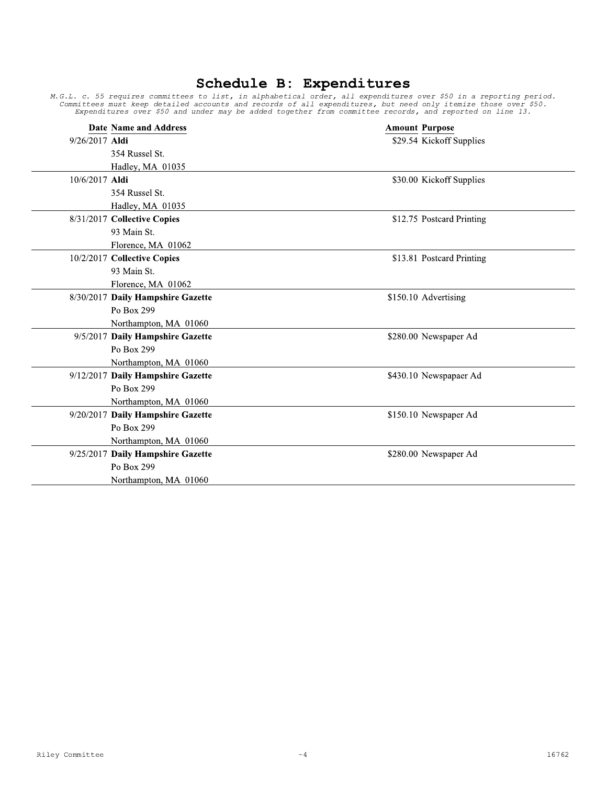|                | <b>Date Name and Address</b>      | <b>Amount Purpose</b>     |
|----------------|-----------------------------------|---------------------------|
| 9/26/2017 Aldi |                                   | \$29.54 Kickoff Supplies  |
|                | 354 Russel St.                    |                           |
|                | Hadley, MA 01035                  |                           |
| 10/6/2017 Aldi |                                   | \$30.00 Kickoff Supplies  |
|                | 354 Russel St.                    |                           |
|                | Hadley, MA 01035                  |                           |
|                | 8/31/2017 Collective Copies       | \$12.75 Postcard Printing |
|                | 93 Main St.                       |                           |
|                | Florence, MA 01062                |                           |
|                | 10/2/2017 Collective Copies       | \$13.81 Postcard Printing |
|                | 93 Main St.                       |                           |
|                | Florence, MA 01062                |                           |
|                | 8/30/2017 Daily Hampshire Gazette | \$150.10 Advertising      |
|                | Po Box 299                        |                           |
|                | Northampton, MA 01060             |                           |
|                | 9/5/2017 Daily Hampshire Gazette  | \$280.00 Newspaper Ad     |
|                | Po Box 299                        |                           |
|                | Northampton, MA 01060             |                           |
|                | 9/12/2017 Daily Hampshire Gazette | \$430.10 Newspapaer Ad    |
|                | Po Box 299                        |                           |
|                | Northampton, MA 01060             |                           |
|                | 9/20/2017 Daily Hampshire Gazette | \$150.10 Newspaper Ad     |
|                | Po Box 299                        |                           |
|                | Northampton, MA 01060             |                           |
|                | 9/25/2017 Daily Hampshire Gazette | \$280.00 Newspaper Ad     |
|                | Po Box 299                        |                           |
|                | Northampton, MA 01060             |                           |

 $-4$ 

## **Schedule B: Expenditures**<br>M.G.L. c. 55 requires committees to list, in alphabetical order, all expenditures over \$50 in a reporting period.<br>Committees must keep detailed accounts and records of all expenditures, but need

Riley Committee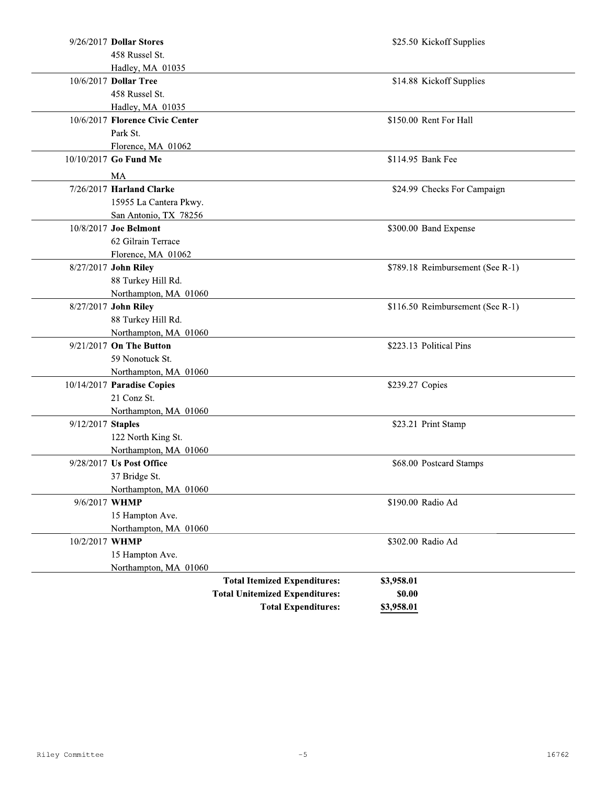| 9/26/2017 Dollar Stores         |                                       | \$25.50 Kickoff Supplies         |
|---------------------------------|---------------------------------------|----------------------------------|
| 458 Russel St.                  |                                       |                                  |
| Hadley, MA 01035                |                                       |                                  |
| 10/6/2017 Dollar Tree           |                                       | \$14.88 Kickoff Supplies         |
| 458 Russel St.                  |                                       |                                  |
| Hadley, MA 01035                |                                       |                                  |
| 10/6/2017 Florence Civic Center |                                       | \$150.00 Rent For Hall           |
| Park St.                        |                                       |                                  |
| Florence, MA 01062              |                                       |                                  |
| 10/10/2017 Go Fund Me           |                                       | \$114.95 Bank Fee                |
| MA                              |                                       |                                  |
| 7/26/2017 Harland Clarke        |                                       | \$24.99 Checks For Campaign      |
| 15955 La Cantera Pkwy.          |                                       |                                  |
| San Antonio, TX 78256           |                                       |                                  |
| 10/8/2017 Joe Belmont           |                                       | \$300.00 Band Expense            |
| 62 Gilrain Terrace              |                                       |                                  |
| Florence, MA 01062              |                                       |                                  |
| 8/27/2017 John Riley            |                                       | \$789.18 Reimbursement (See R-1) |
| 88 Turkey Hill Rd.              |                                       |                                  |
| Northampton, MA 01060           |                                       |                                  |
| 8/27/2017 John Riley            |                                       | \$116.50 Reimbursement (See R-1) |
| 88 Turkey Hill Rd.              |                                       |                                  |
| Northampton, MA 01060           |                                       |                                  |
| 9/21/2017 On The Button         |                                       | \$223.13 Political Pins          |
| 59 Nonotuck St.                 |                                       |                                  |
| Northampton, MA 01060           |                                       |                                  |
| 10/14/2017 Paradise Copies      |                                       | \$239.27 Copies                  |
| 21 Conz St.                     |                                       |                                  |
| Northampton, MA 01060           |                                       |                                  |
| 9/12/2017 Staples               |                                       | \$23.21 Print Stamp              |
| 122 North King St.              |                                       |                                  |
| Northampton, MA 01060           |                                       |                                  |
| 9/28/2017 Us Post Office        |                                       | \$68.00 Postcard Stamps          |
| 37 Bridge St.                   |                                       |                                  |
| Northampton, MA 01060           |                                       |                                  |
| 9/6/2017 WHMP                   |                                       | \$190.00 Radio Ad                |
| 15 Hampton Ave.                 |                                       |                                  |
| Northampton, MA 01060           |                                       |                                  |
| 10/2/2017 WHMP                  |                                       | \$302.00 Radio Ad                |
| 15 Hampton Ave.                 |                                       |                                  |
| Northampton, MA 01060           |                                       |                                  |
|                                 | <b>Total Itemized Expenditures:</b>   | \$3,958.01                       |
|                                 | <b>Total Unitemized Expenditures:</b> | \$0.00                           |
|                                 | <b>Total Expenditures:</b>            | \$3,958.01                       |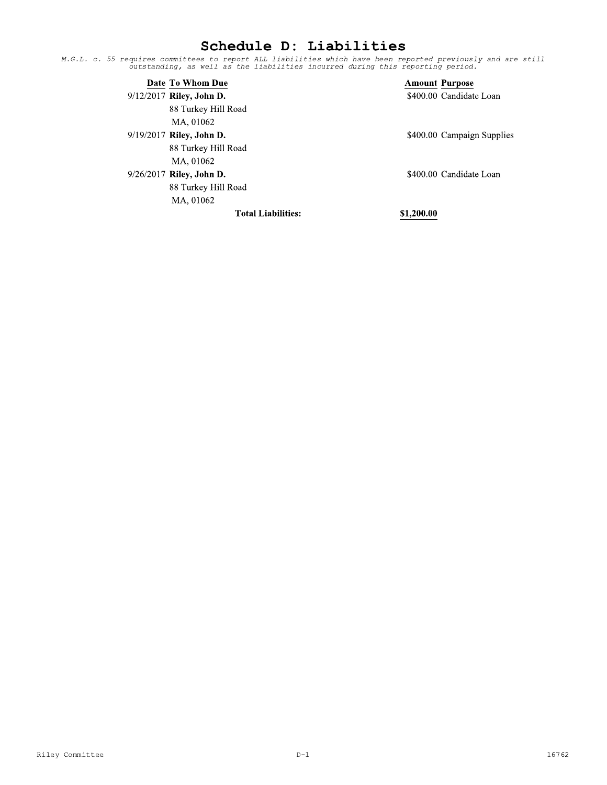## Schedule D: Liabilities

M.G.L. c. 55 requires committees to report ALL liabilities which have been reported previously and are still<br>outstanding, as well as the liabilities incurred during this reporting period.

| Date To Whom Due           |            | <b>Amount Purpose</b>      |
|----------------------------|------------|----------------------------|
| $9/12/2017$ Riley, John D. |            | \$400.00 Candidate Loan    |
| 88 Turkey Hill Road        |            |                            |
| MA, 01062                  |            |                            |
| $9/19/2017$ Riley, John D. |            | \$400.00 Campaign Supplies |
| 88 Turkey Hill Road        |            |                            |
| MA, 01062                  |            |                            |
| 9/26/2017 Riley, John D.   |            | \$400.00 Candidate Loan    |
| 88 Turkey Hill Road        |            |                            |
| MA, 01062                  |            |                            |
| <b>Total Liabilities:</b>  | \$1,200.00 |                            |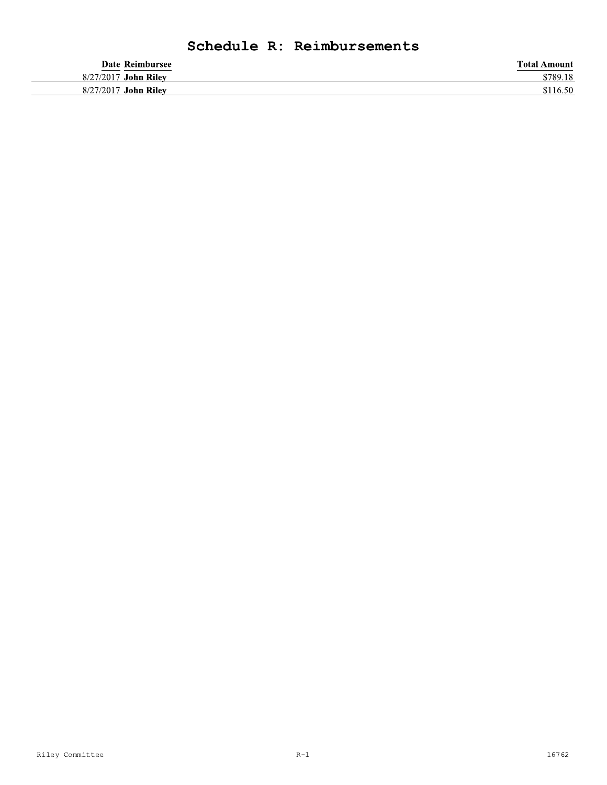## Schedule R: Reimbursements

|           | Date Reimbursee   | <b>Total Amount</b> |
|-----------|-------------------|---------------------|
| 8/27/2017 | John Rilev        | \$789.18            |
| 8/27/2017 | <b>John Rilev</b> | \$116.50            |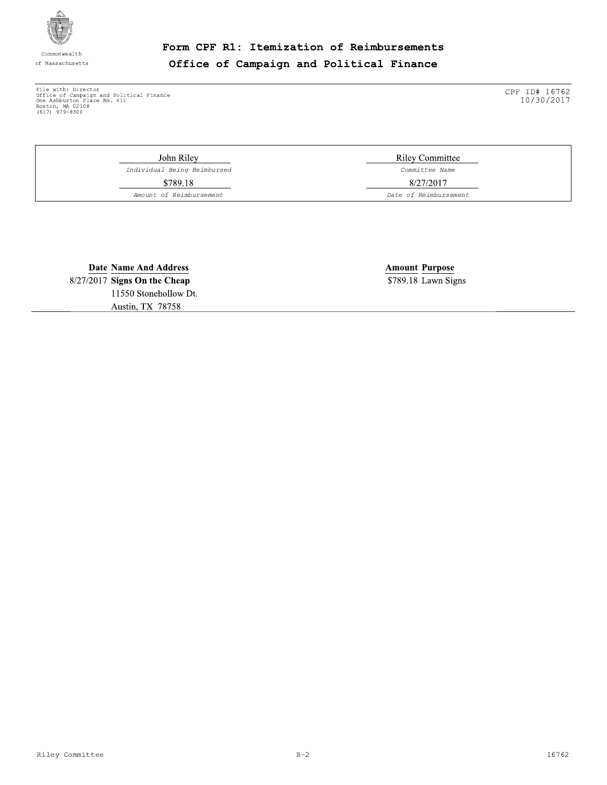

Commonwealth of Massachusetts Form CPF R1: Itemization of Reimbursements Office of Campaign and Political Finance

File with: Director<br>
Office of Campaign and Political Finance<br>
One Ashburton Place Rm. 411<br>
Boston, MA 02108<br>
(617) 979-8300

CPF ID# 16762<br>10/30/2017

John Riley Individual Being Reimbursed \$789.18 Amount of Reimbursement

**Riley Committee** Committee Name 8/27/2017

Date of Reimbursement

**Date Name And Address** 8/27/2017 Signs On the Cheap 11550 Stonehollow Dt. Austin, TX 78758

**Amount Purpose** \$789.18 Lawn Signs